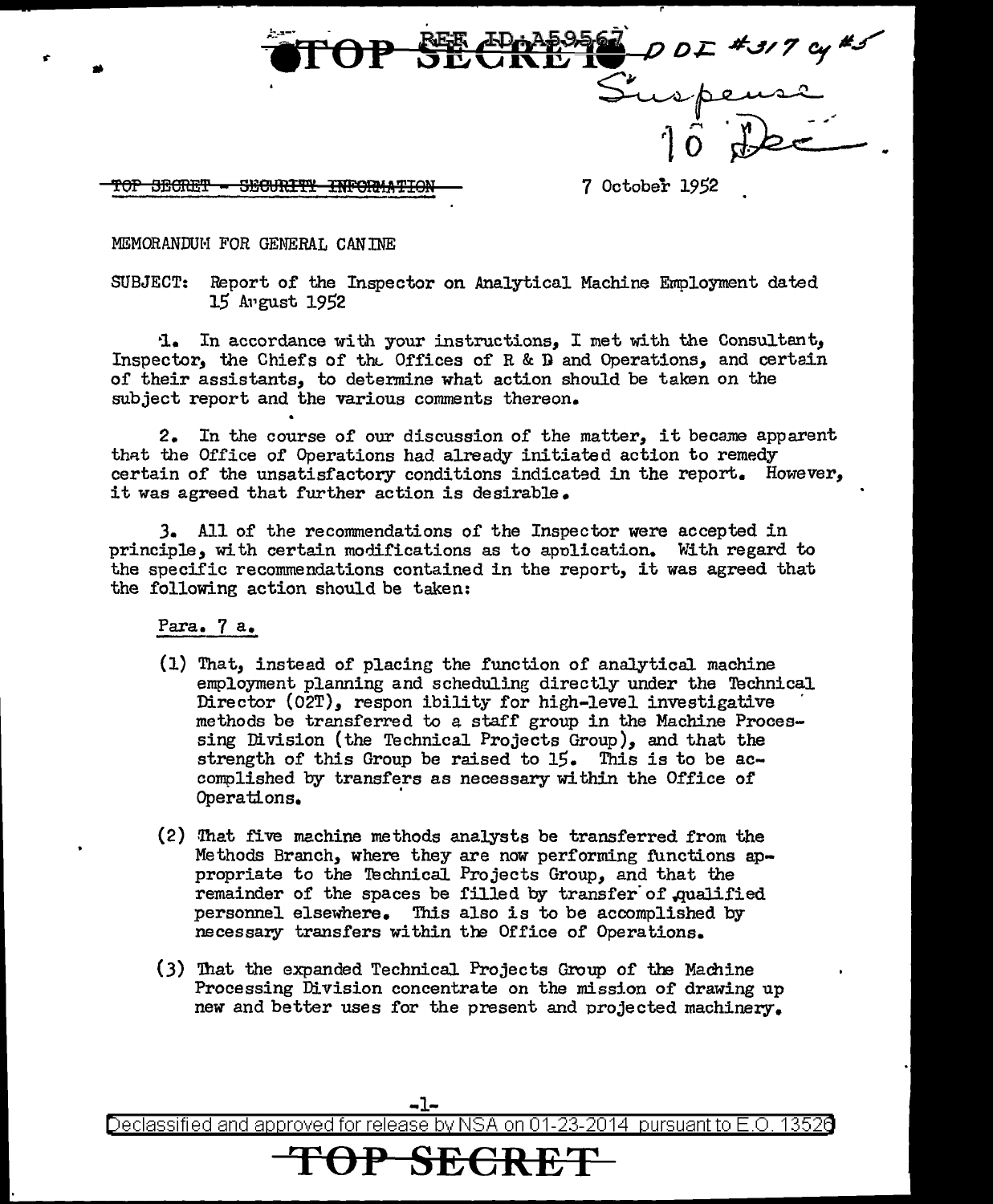

TOP SEGRET - SEGURITY INFORMATION - 7 October 1952

MEMORANDUM FOR GENERAL CANINE

•

SUBJECT: Report of the Inspector on Analytical Machine Employment dated 15 Al•gust 1952

·1. In accordance with your instructions,, I met with the Consultant, Inspector, the Chief's of the Offices of R & D and Operations, and certain of their assistants, to determine what action should be taken on the subject report and the various comments thereon.

2. In the course of our discussion of the matter, it became apparent that the Office of Operations had already initiated action to remedy certain of the unsatisfactory conditions indicated in the report. However, it was agreed that further action is desirable.

J. All of the reconnnendations of the Inspector were accepted in principle, with certain modifications as to apolication. With regard to the specific recommendations contained in the report, it was agreed that the following action should be taken:

Para. 7 a.

- $(1)$  That, instead of placing the function of analytical machine employment planning and scheduling directly under the Technical<br>Director (O2T), respon ibility for high-level investigative methods be transferred to a staff group in the Machine Processing Division (the Technical Projects Group), and that the strength of this Group be raised to 15. This is to be accomplished by transfers as necessary within the Office of Operations. ·
- (2) That five machine methods analysts be transferred from the Methods Branch, where they are now performing functions appropriate to the Technical Projects Group, and that the remainder of the spaces be filled by transfer of qualified personnel elsewhere. This also is to be accomplished by necessary transfers within the Office of Operations.
- (3) 'lhat the expanded Technical Projects Group of the Machine Processing Division concentrate on the mission of drawing up new and better uses for the present and projected machinery.

Declassified and approved for release by NSA on 01-23-2014 pursuant to E.O. 1352d

**TSECR** 

-1-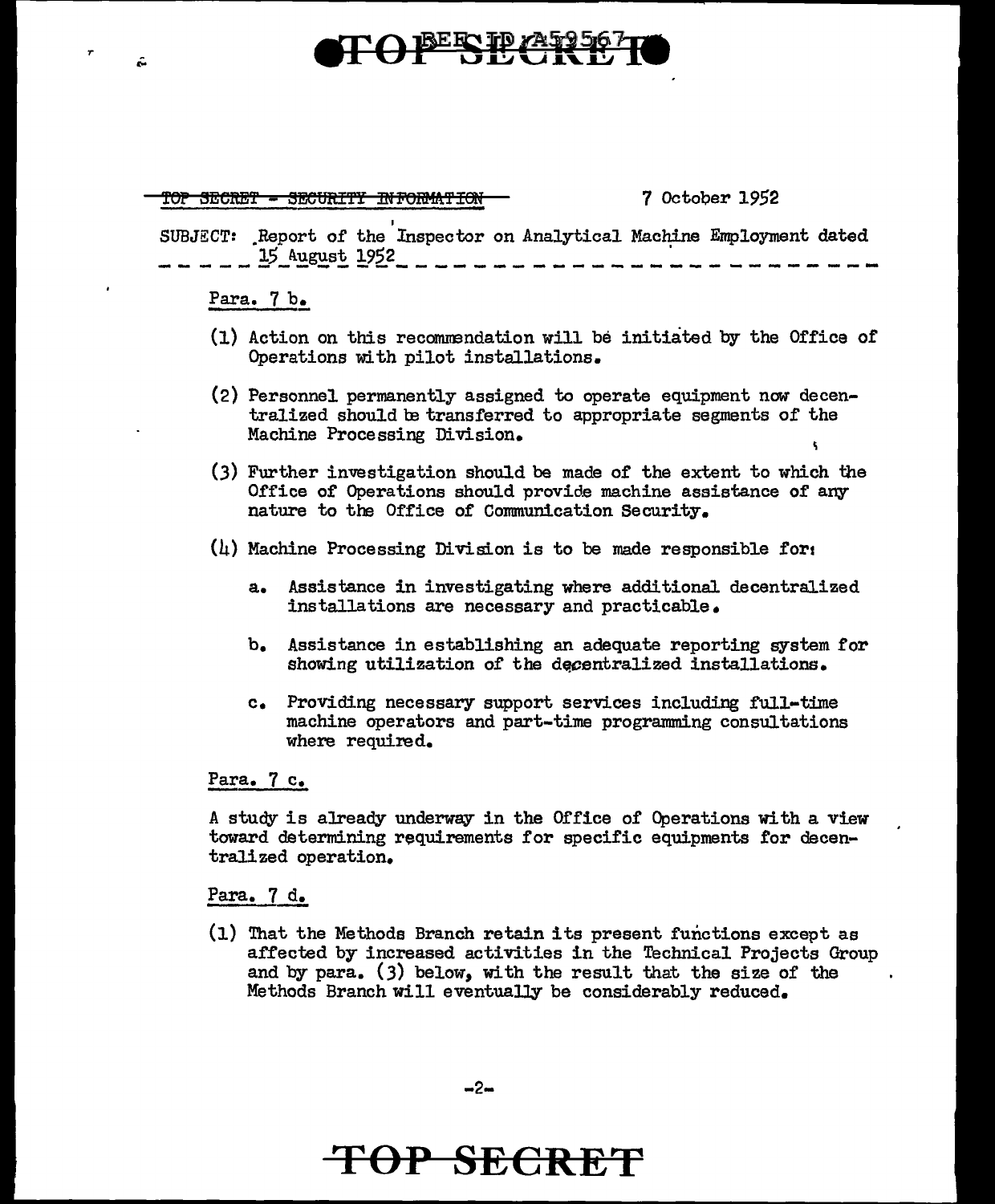# TOPERPLANSE

TOP SECRET - SECURITY INFORMATION

7 October 1952

SUBJECT: Report of the Inspector on Analytical Machine Employment dated 15 A.ugust 1952 ----~-------------------------------~

### Para. 7 b.

r

Ŵ

- (1) Action on this recomnendation will be initiated by the Office of Operations with pilot installations.
- (2) Personnel permanently assigned to operate equipment now decentralized should be transferred to appropriate segments of the Machine Processing Division.
- (3) Further investigation should be made of the extent to which the Office of Operations should provide machine assistance of any nature to the Office of Communication Security.
- $(h)$  Machine Processing Division is to be made responsible for:
	- a. Assistance in investigating where additional decentralized installations are necessary and practicable.
	- b. Assistance in establishing an adequate reporting system for showing utilization of the decentralized installations.
	- c. Providing necessary support services including full-time machine operators and part-time programming consultations where required.

### Para. 7 c.

A study is already underway in the Office of Operations with a view toward determining requirements for specific equipments for decentralized operation.

### Para. 7 d.

(1) That the Methods Branch retain its present functions except as affected by increased activities in the Technical Projects Group and by para. (3) below, with the result that the size of the Methods Branch will eventually be considerably reduced.

### **TOP SECRET**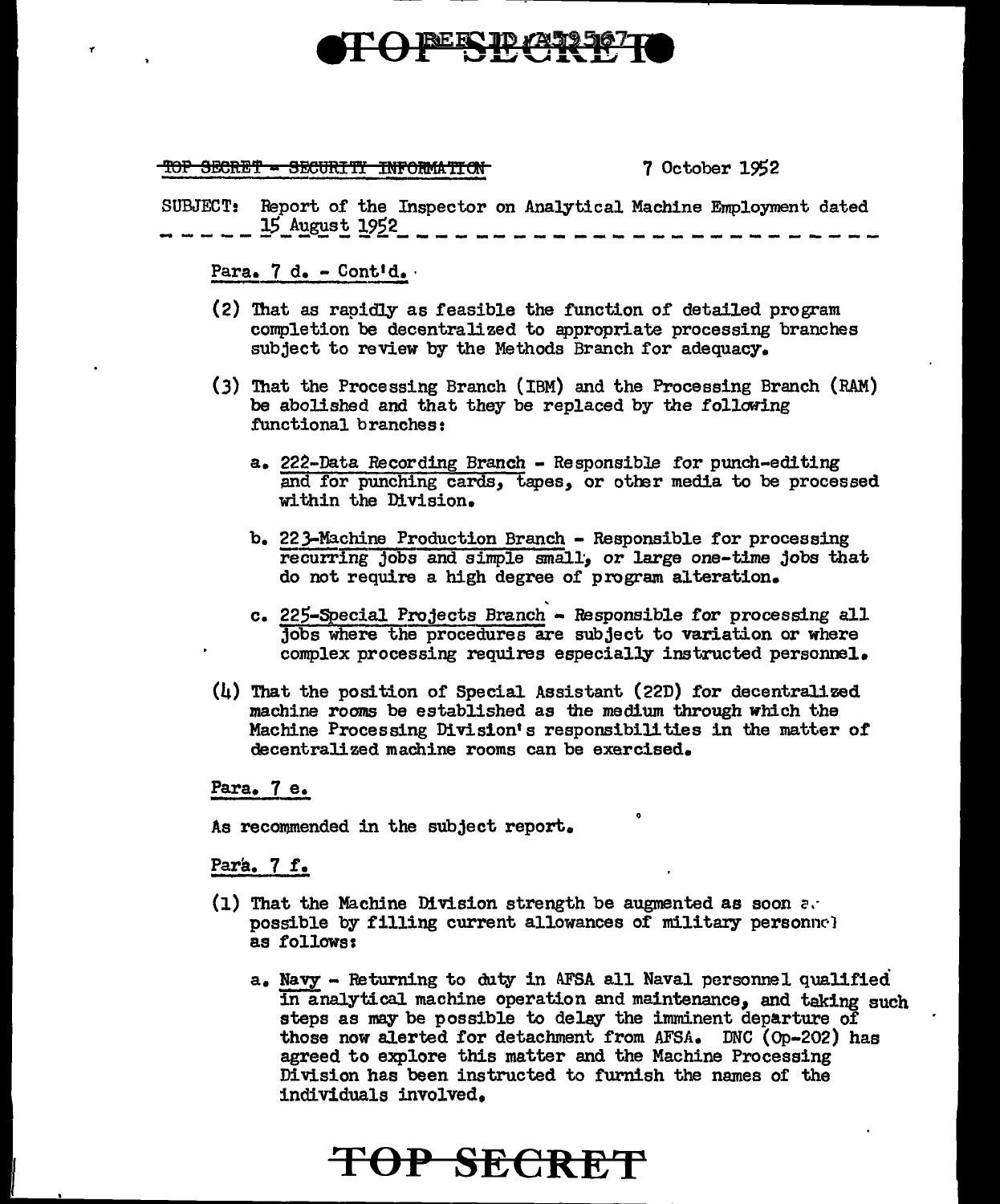# **BEECTD (A)**

### TOP SECRET - SECURITY INFORMATION

7 October 19\$2

SUBJECT: Report of the Inspector on Analytical Machine Employment dated 15 August 1952 ~------------~---------~-------------

Para. 7 d. - Contid.

- (2) '!hat as rapidly as feasible the function of detailed program completion be decentralized to appropriate processing branches subject to review by the Methods Branch for adequacy.
- (3) '!hat the Processing Branch (IBM) and the Processing Branch (RAM) be abolished and that they be replaced by the following functional branches:
	- a. 222-Data Recording Branch Responsible for punch-editing and for punching cards, tapes, or other media to be processed within the Division.
	- b. 22.3-Machine Production Branch Responsible for processing recurring jobs and simple small, or large one-time jobs that do not require a high degree of program alteration.
	- c. 225-Special Projects Branch Responsible for processing all jobs where the procedures are subject to variation or where complex processing requires especially instructed personnel.
- (4) That the position of Special Assistant (22D) for decentralized machine rooms be established as the medium through which the Machine Processing Division's responsibilities in the matter of decentralized machine rooms can be exercised.

Para. 7 e.

As recommended in the subject report.

Para. 7 r.

- (1) That the Machine Division strength be augmented as soon  $\alpha$ . possible by filling current allowances of military personnel as follows:
	- a. Navy Returning to duty in AFSA all Naval personnel qualified in analytical machine operation and maintenance, and taking such steps as may be possible to delay the imminent departure of those now alerted for detachment from AFSA. DNC (Op-202) has agreed to explore this matter and the Machine Processing Division has been instructed to furnish the names of the individuals involved.

## **TOP SECRET**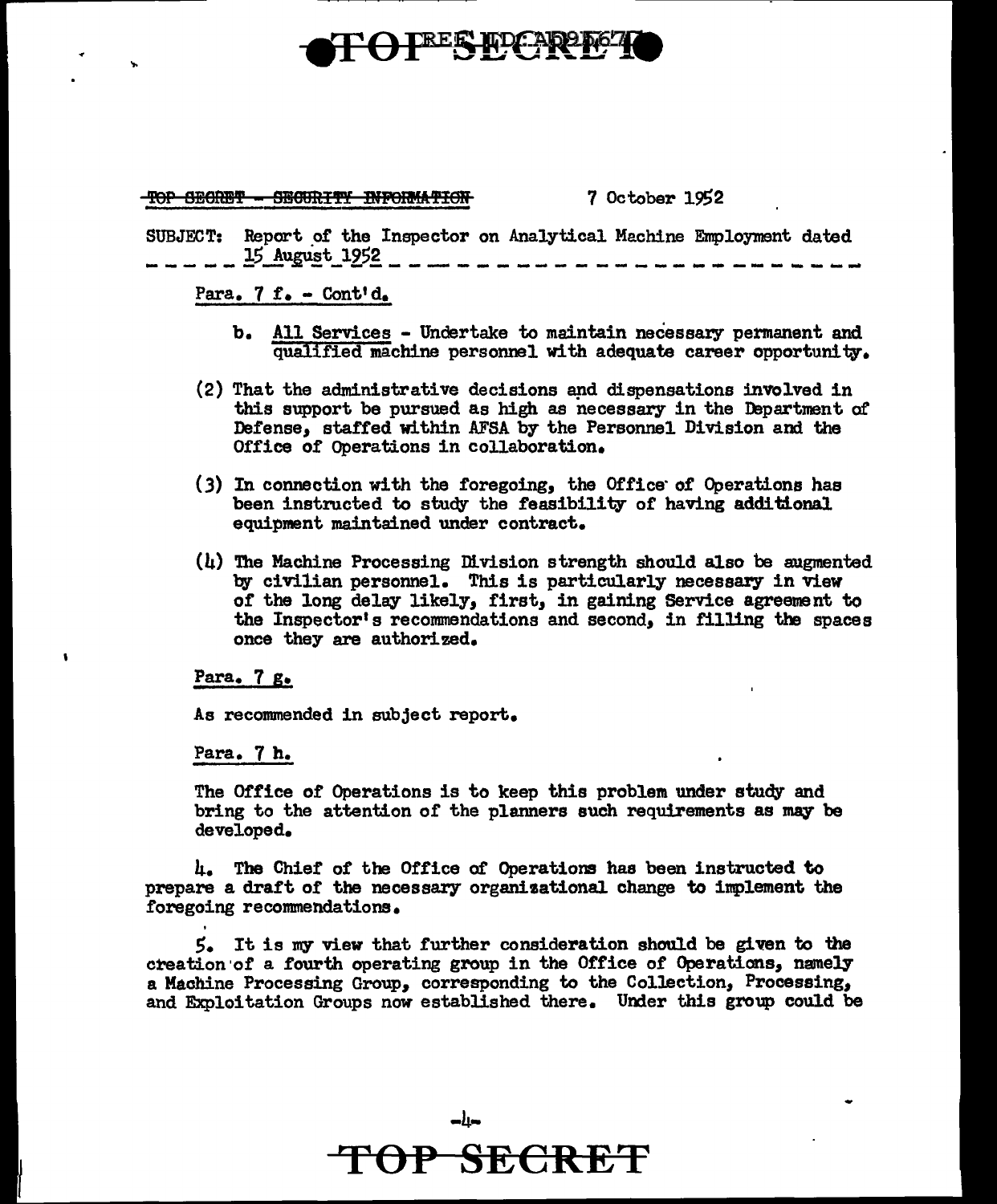## **TEEE RDCAP**

TOP SECRET -HOIRITY INFORMATION

### 7 October 1952

SUBJECT: Report \_or the Inspector on Analytical Machine Employment dated \_\_\_\_\_ !5\_!u~!t\_l2,5! \_\_\_\_\_\_\_\_\_\_\_\_\_\_\_\_\_\_\_\_\_\_\_ \_

### Para.  $7$  f. - Cont'd.

- b. All Services Undertake to maintain necessary permanent and qualified machine personnel with adequate career opportunity.
- (2) That the administrative decisions aµd dispensations involved in this support be pursued as high as necessary in the Department of Defense, staffed within AFSA by the Personnel Division and the Office of Operations in collaboration.
- $(3)$  In connection with the foregoing, the Office of Operations has been instructed to study the feasibility of having additional equipment maintained under contract.
- (4) 'Ihe Machine Processing DI.vision strength should also be augmented by civilian personnel. This is particularly necessary in View of the long delay likely, first, in gaining Service agreement to the Inspector's recommendations and second, in filling the spaces once they are authorized.

### Para. 7 g.

As recommended in subject report.

### Para. 7 h.

The Office of Operations is to keep this problem under study and bring to the attention of the planners such requirements as may be developed.

4. The Chief of the Office of Operations has been instructed to prepare a draft of the necessary organisational change to implement the foregoing recommendations.

S. It is my view that further consideration should be given to the creation ·or a fourth operating group in the Office of Operations, namely a Machine Processing Group, corresponding to the Collection,, Processing, and Exploitation Groups now established there. Under this group could be